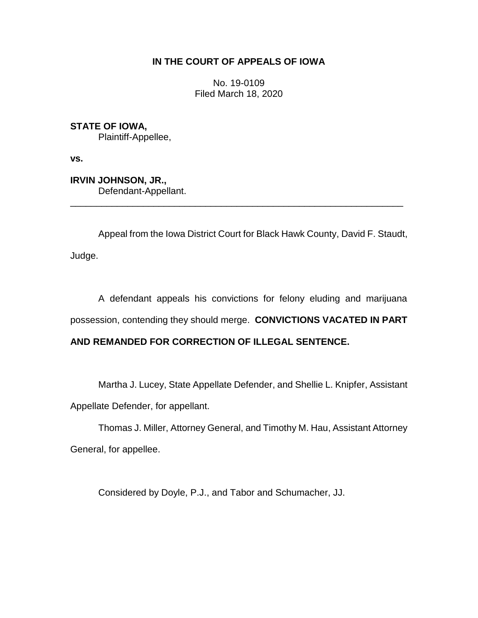## **IN THE COURT OF APPEALS OF IOWA**

No. 19-0109 Filed March 18, 2020

**STATE OF IOWA,** Plaintiff-Appellee,

**vs.**

**IRVIN JOHNSON, JR.,** Defendant-Appellant.

Appeal from the Iowa District Court for Black Hawk County, David F. Staudt, Judge.

\_\_\_\_\_\_\_\_\_\_\_\_\_\_\_\_\_\_\_\_\_\_\_\_\_\_\_\_\_\_\_\_\_\_\_\_\_\_\_\_\_\_\_\_\_\_\_\_\_\_\_\_\_\_\_\_\_\_\_\_\_\_\_\_

A defendant appeals his convictions for felony eluding and marijuana possession, contending they should merge. **CONVICTIONS VACATED IN PART** 

# **AND REMANDED FOR CORRECTION OF ILLEGAL SENTENCE.**

Martha J. Lucey, State Appellate Defender, and Shellie L. Knipfer, Assistant Appellate Defender, for appellant.

Thomas J. Miller, Attorney General, and Timothy M. Hau, Assistant Attorney General, for appellee.

Considered by Doyle, P.J., and Tabor and Schumacher, JJ.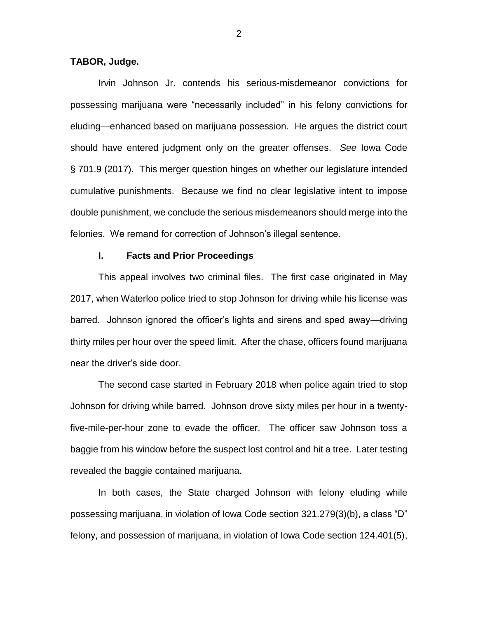## **TABOR, Judge.**

Irvin Johnson Jr. contends his serious-misdemeanor convictions for possessing marijuana were "necessarily included" in his felony convictions for eluding—enhanced based on marijuana possession. He argues the district court should have entered judgment only on the greater offenses. *See* Iowa Code § 701.9 (2017). This merger question hinges on whether our legislature intended cumulative punishments. Because we find no clear legislative intent to impose double punishment, we conclude the serious misdemeanors should merge into the felonies. We remand for correction of Johnson's illegal sentence.

## **I. Facts and Prior Proceedings**

This appeal involves two criminal files. The first case originated in May 2017, when Waterloo police tried to stop Johnson for driving while his license was barred. Johnson ignored the officer's lights and sirens and sped away—driving thirty miles per hour over the speed limit. After the chase, officers found marijuana near the driver's side door.

The second case started in February 2018 when police again tried to stop Johnson for driving while barred. Johnson drove sixty miles per hour in a twentyfive-mile-per-hour zone to evade the officer. The officer saw Johnson toss a baggie from his window before the suspect lost control and hit a tree. Later testing revealed the baggie contained marijuana.

 In both cases, the State charged Johnson with felony eluding while possessing marijuana, in violation of Iowa Code section 321.279(3)(b), a class "D" felony, and possession of marijuana, in violation of Iowa Code section 124.401(5),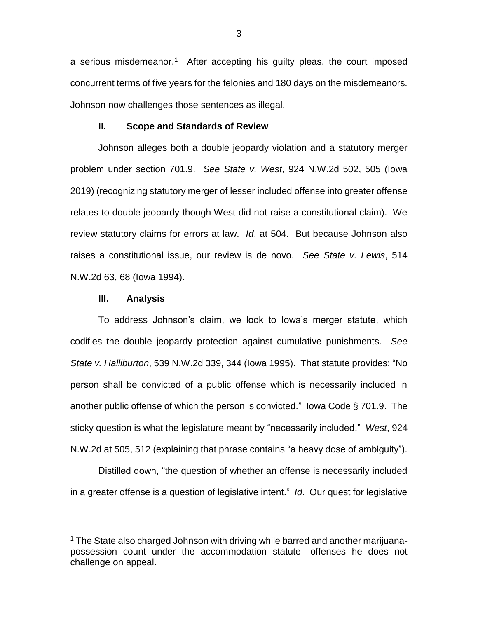a serious misdemeanor.<sup>1</sup> After accepting his guilty pleas, the court imposed concurrent terms of five years for the felonies and 180 days on the misdemeanors. Johnson now challenges those sentences as illegal.

#### **II. Scope and Standards of Review**

Johnson alleges both a double jeopardy violation and a statutory merger problem under section 701.9. *See State v. West*, 924 N.W.2d 502, 505 (Iowa 2019) (recognizing statutory merger of lesser included offense into greater offense relates to double jeopardy though West did not raise a constitutional claim). We review statutory claims for errors at law. *Id*. at 504. But because Johnson also raises a constitutional issue, our review is de novo. *See State v. Lewis*, 514 N.W.2d 63, 68 (Iowa 1994).

### **III. Analysis**

 $\overline{a}$ 

To address Johnson's claim, we look to Iowa's merger statute, which codifies the double jeopardy protection against cumulative punishments. *See State v. Halliburton*, 539 N.W.2d 339, 344 (Iowa 1995). That statute provides: "No person shall be convicted of a public offense which is necessarily included in another public offense of which the person is convicted." Iowa Code § 701.9. The sticky question is what the legislature meant by "necessarily included." *West*, 924 N.W.2d at 505, 512 (explaining that phrase contains "a heavy dose of ambiguity").

Distilled down, "the question of whether an offense is necessarily included in a greater offense is a question of legislative intent." *Id*. Our quest for legislative

<sup>&</sup>lt;sup>1</sup> The State also charged Johnson with driving while barred and another marijuanapossession count under the accommodation statute—offenses he does not challenge on appeal.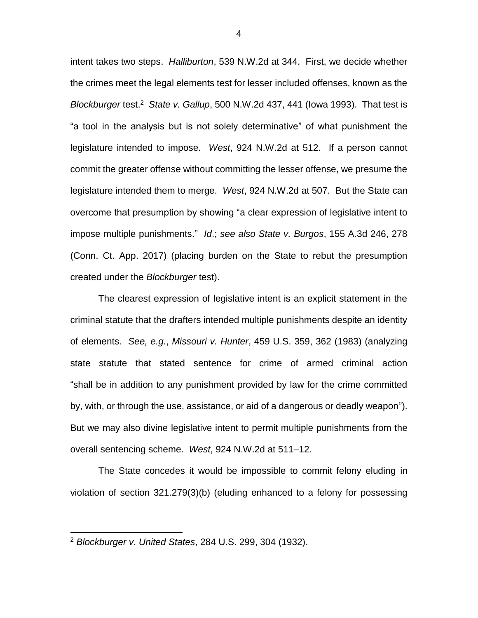intent takes two steps. *Halliburton*, 539 N.W.2d at 344. First, we decide whether the crimes meet the legal elements test for lesser included offenses, known as the *Blockburger* test.<sup>2</sup> State v. Gallup, 500 N.W.2d 437, 441 (lowa 1993). That test is "a tool in the analysis but is not solely determinative" of what punishment the legislature intended to impose. *West*, 924 N.W.2d at 512. If a person cannot commit the greater offense without committing the lesser offense, we presume the legislature intended them to merge. *West*, 924 N.W.2d at 507. But the State can overcome that presumption by showing "a clear expression of legislative intent to impose multiple punishments." *Id*.; *see also State v. Burgos*, 155 A.3d 246, 278 (Conn. Ct. App. 2017) (placing burden on the State to rebut the presumption created under the *Blockburger* test).

The clearest expression of legislative intent is an explicit statement in the criminal statute that the drafters intended multiple punishments despite an identity of elements. *See, e.g.*, *Missouri v. Hunter*, 459 U.S. 359, 362 (1983) (analyzing state statute that stated sentence for crime of armed criminal action "shall be in addition to any punishment provided by law for the crime committed by, with, or through the use, assistance, or aid of a dangerous or deadly weapon"). But we may also divine legislative intent to permit multiple punishments from the overall sentencing scheme. *West*, 924 N.W.2d at 511–12.

The State concedes it would be impossible to commit felony eluding in violation of section 321.279(3)(b) (eluding enhanced to a felony for possessing

 $\overline{a}$ 

4

<sup>2</sup> *Blockburger v. United States*, 284 U.S. 299, 304 (1932).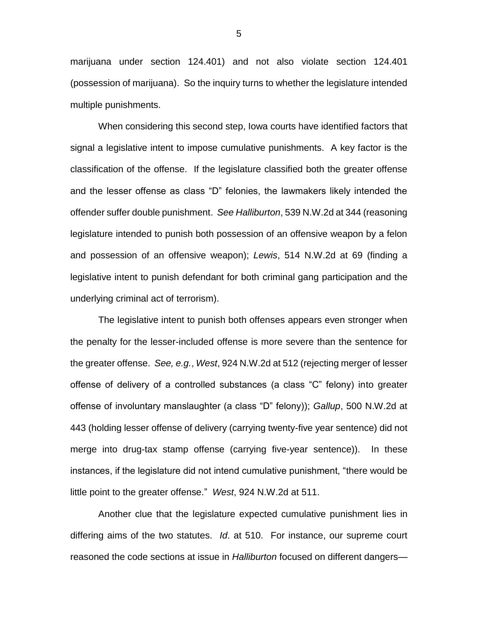marijuana under section 124.401) and not also violate section 124.401 (possession of marijuana). So the inquiry turns to whether the legislature intended multiple punishments.

When considering this second step, Iowa courts have identified factors that signal a legislative intent to impose cumulative punishments. A key factor is the classification of the offense. If the legislature classified both the greater offense and the lesser offense as class "D" felonies, the lawmakers likely intended the offender suffer double punishment. *See Halliburton*, 539 N.W.2d at 344 (reasoning legislature intended to punish both possession of an offensive weapon by a felon and possession of an offensive weapon); *Lewis*, 514 N.W.2d at 69 (finding a legislative intent to punish defendant for both criminal gang participation and the underlying criminal act of terrorism).

The legislative intent to punish both offenses appears even stronger when the penalty for the lesser-included offense is more severe than the sentence for the greater offense. *See, e.g.*, *West*, 924 N.W.2d at 512 (rejecting merger of lesser offense of delivery of a controlled substances (a class "C" felony) into greater offense of involuntary manslaughter (a class "D" felony)); *Gallup*, 500 N.W.2d at 443 (holding lesser offense of delivery (carrying twenty-five year sentence) did not merge into drug-tax stamp offense (carrying five-year sentence)). In these instances, if the legislature did not intend cumulative punishment, "there would be little point to the greater offense." *West*, 924 N.W.2d at 511.

Another clue that the legislature expected cumulative punishment lies in differing aims of the two statutes. *Id*. at 510. For instance, our supreme court reasoned the code sections at issue in *Halliburton* focused on different dangers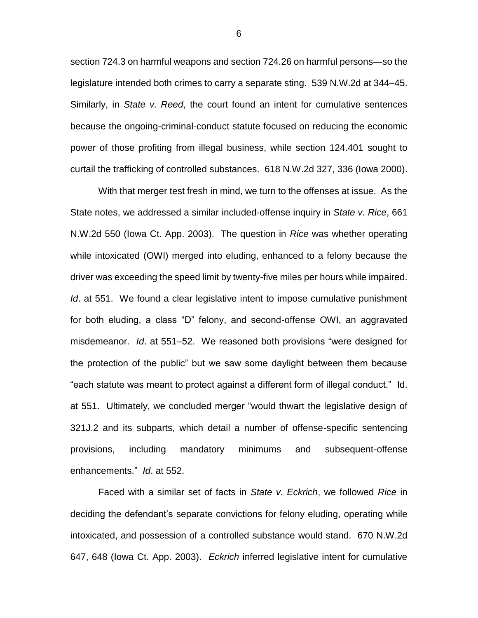section 724.3 on harmful weapons and section 724.26 on harmful persons—so the legislature intended both crimes to carry a separate sting. 539 N.W.2d at 344–45. Similarly, in *State v. Reed*, the court found an intent for cumulative sentences because the ongoing-criminal-conduct statute focused on reducing the economic power of those profiting from illegal business, while section 124.401 sought to curtail the trafficking of controlled substances. 618 N.W.2d 327, 336 (Iowa 2000).

With that merger test fresh in mind, we turn to the offenses at issue. As the State notes, we addressed a similar included-offense inquiry in *State v. Rice*, 661 N.W.2d 550 (Iowa Ct. App. 2003). The question in *Rice* was whether operating while intoxicated (OWI) merged into eluding, enhanced to a felony because the driver was exceeding the speed limit by twenty-five miles per hours while impaired. *Id.* at 551. We found a clear legislative intent to impose cumulative punishment for both eluding, a class "D" felony, and second-offense OWI, an aggravated misdemeanor. *Id*. at 551–52. We reasoned both provisions "were designed for the protection of the public" but we saw some daylight between them because "each statute was meant to protect against a different form of illegal conduct." Id. at 551. Ultimately, we concluded merger "would thwart the legislative design of 321J.2 and its subparts, which detail a number of offense-specific sentencing provisions, including mandatory minimums and subsequent-offense enhancements." *Id*. at 552.

Faced with a similar set of facts in *State v. Eckrich*, we followed *Rice* in deciding the defendant's separate convictions for felony eluding, operating while intoxicated, and possession of a controlled substance would stand. 670 N.W.2d 647, 648 (Iowa Ct. App. 2003). *Eckrich* inferred legislative intent for cumulative

6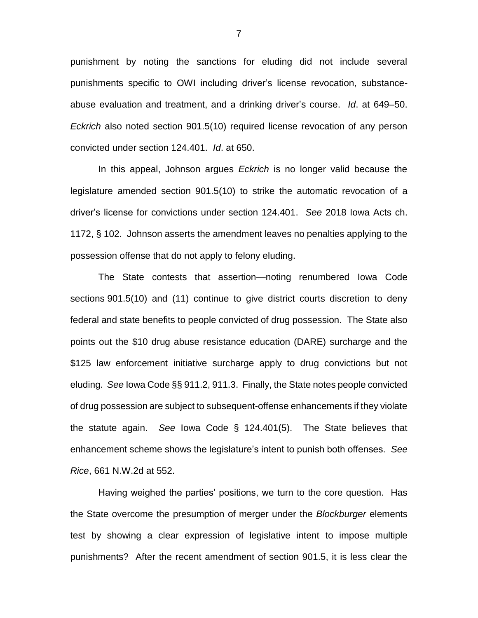punishment by noting the sanctions for eluding did not include several punishments specific to OWI including driver's license revocation, substanceabuse evaluation and treatment, and a drinking driver's course. *Id*. at 649–50. *Eckrich* also noted section 901.5(10) required license revocation of any person convicted under section 124.401. *Id*. at 650.

In this appeal, Johnson argues *Eckrich* is no longer valid because the legislature amended section 901.5(10) to strike the automatic revocation of a driver's license for convictions under section 124.401. *See* 2018 Iowa Acts ch. 1172, § 102. Johnson asserts the amendment leaves no penalties applying to the possession offense that do not apply to felony eluding.

The State contests that assertion—noting renumbered Iowa Code sections 901.5(10) and (11) continue to give district courts discretion to deny federal and state benefits to people convicted of drug possession. The State also points out the \$10 drug abuse resistance education (DARE) surcharge and the \$125 law enforcement initiative surcharge apply to drug convictions but not eluding. *See* Iowa Code §§ 911.2, 911.3. Finally, the State notes people convicted of drug possession are subject to subsequent-offense enhancements if they violate the statute again. *See* Iowa Code § 124.401(5). The State believes that enhancement scheme shows the legislature's intent to punish both offenses. *See Rice*, 661 N.W.2d at 552.

Having weighed the parties' positions, we turn to the core question. Has the State overcome the presumption of merger under the *Blockburger* elements test by showing a clear expression of legislative intent to impose multiple punishments? After the recent amendment of section 901.5, it is less clear the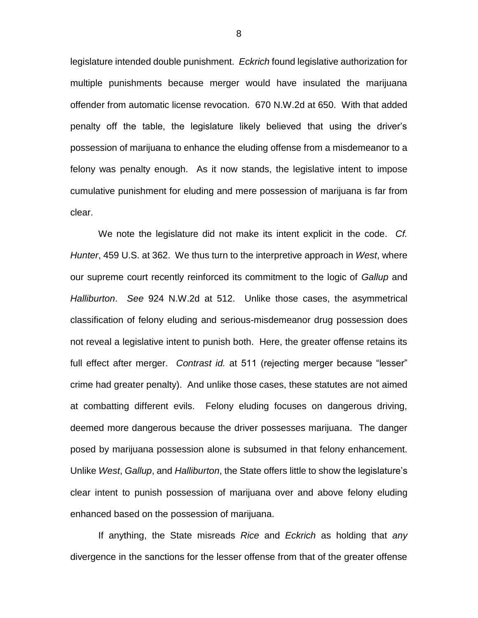legislature intended double punishment. *Eckrich* found legislative authorization for multiple punishments because merger would have insulated the marijuana offender from automatic license revocation. 670 N.W.2d at 650. With that added penalty off the table, the legislature likely believed that using the driver's possession of marijuana to enhance the eluding offense from a misdemeanor to a felony was penalty enough. As it now stands, the legislative intent to impose cumulative punishment for eluding and mere possession of marijuana is far from clear.

We note the legislature did not make its intent explicit in the code. *Cf. Hunter*, 459 U.S. at 362. We thus turn to the interpretive approach in *West*, where our supreme court recently reinforced its commitment to the logic of *Gallup* and *Halliburton*. *See* 924 N.W.2d at 512. Unlike those cases, the asymmetrical classification of felony eluding and serious-misdemeanor drug possession does not reveal a legislative intent to punish both. Here, the greater offense retains its full effect after merger. *Contrast id.* at 511 (rejecting merger because "lesser" crime had greater penalty). And unlike those cases, these statutes are not aimed at combatting different evils. Felony eluding focuses on dangerous driving, deemed more dangerous because the driver possesses marijuana. The danger posed by marijuana possession alone is subsumed in that felony enhancement. Unlike *West*, *Gallup*, and *Halliburton*, the State offers little to show the legislature's clear intent to punish possession of marijuana over and above felony eluding enhanced based on the possession of marijuana.

If anything, the State misreads *Rice* and *Eckrich* as holding that *any*  divergence in the sanctions for the lesser offense from that of the greater offense

8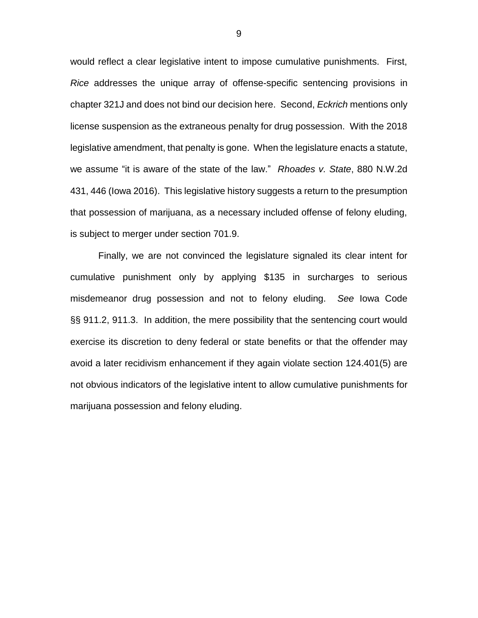would reflect a clear legislative intent to impose cumulative punishments. First, *Rice* addresses the unique array of offense-specific sentencing provisions in chapter 321J and does not bind our decision here. Second, *Eckrich* mentions only license suspension as the extraneous penalty for drug possession. With the 2018 legislative amendment, that penalty is gone. When the legislature enacts a statute, we assume "it is aware of the state of the law." *Rhoades v. State*, 880 N.W.2d 431, 446 (Iowa 2016). This legislative history suggests a return to the presumption that possession of marijuana, as a necessary included offense of felony eluding, is subject to merger under section 701.9.

Finally, we are not convinced the legislature signaled its clear intent for cumulative punishment only by applying \$135 in surcharges to serious misdemeanor drug possession and not to felony eluding. *See* Iowa Code §§ 911.2, 911.3. In addition, the mere possibility that the sentencing court would exercise its discretion to deny federal or state benefits or that the offender may avoid a later recidivism enhancement if they again violate section 124.401(5) are not obvious indicators of the legislative intent to allow cumulative punishments for marijuana possession and felony eluding.